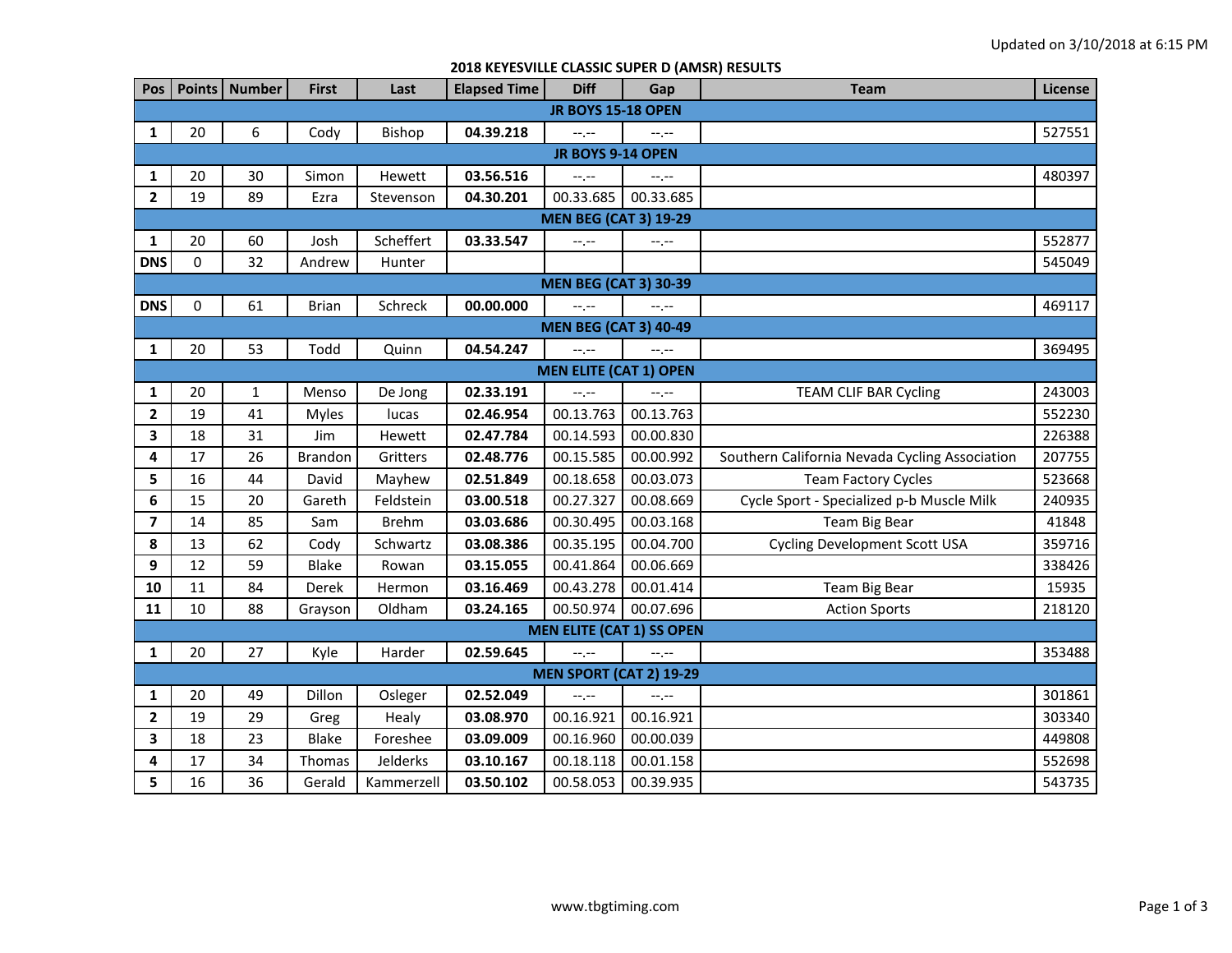## **2018 KEYESVILLE CLASSIC SUPER D (AMSR) RESULTS**

| Pos                          | Points                        | <b>Number</b> | <b>First</b>   | Last         | <b>Elapsed Time</b> | <b>Diff</b>                    | Gap                              | <b>Team</b>                                    | License |  |  |  |
|------------------------------|-------------------------------|---------------|----------------|--------------|---------------------|--------------------------------|----------------------------------|------------------------------------------------|---------|--|--|--|
| <b>JR BOYS 15-18 OPEN</b>    |                               |               |                |              |                     |                                |                                  |                                                |         |  |  |  |
| 1                            | 20                            | 6             | Cody           | Bishop       | 04.39.218           | --,--                          | --.--                            |                                                | 527551  |  |  |  |
| JR BOYS 9-14 OPEN            |                               |               |                |              |                     |                                |                                  |                                                |         |  |  |  |
| 1                            | 20                            | 30            | Simon          | Hewett       | 03.56.516           | $-1, -1$                       | $-1, -1$                         |                                                | 480397  |  |  |  |
| $\mathbf{2}$                 | 19                            | 89            | Ezra           | Stevenson    | 04.30.201           | 00.33.685                      | 00.33.685                        |                                                |         |  |  |  |
| <b>MEN BEG (CAT 3) 19-29</b> |                               |               |                |              |                     |                                |                                  |                                                |         |  |  |  |
| 1                            | 20                            | 60            | Josh           | Scheffert    | 03.33.547           | --.--                          | $-1, -1$                         |                                                | 552877  |  |  |  |
| <b>DNS</b>                   | 0                             | 32            | Andrew         | Hunter       |                     |                                |                                  |                                                | 545049  |  |  |  |
| <b>MEN BEG (CAT 3) 30-39</b> |                               |               |                |              |                     |                                |                                  |                                                |         |  |  |  |
| <b>DNS</b>                   | 0                             | 61            | <b>Brian</b>   | Schreck      | 00.00.000           | --.--                          | $-1$ , $-1$                      |                                                | 469117  |  |  |  |
| <b>MEN BEG (CAT 3) 40-49</b> |                               |               |                |              |                     |                                |                                  |                                                |         |  |  |  |
| $\mathbf{1}$                 | 20                            | 53            | Todd           | Quinn        | 04.54.247           | $-1$ .                         | $-1$                             |                                                | 369495  |  |  |  |
|                              | <b>MEN ELITE (CAT 1) OPEN</b> |               |                |              |                     |                                |                                  |                                                |         |  |  |  |
| 1                            | 20                            | $\mathbf 1$   | Menso          | De Jong      | 02.33.191           | $-1$ .                         | --.--                            | <b>TEAM CLIF BAR Cycling</b>                   | 243003  |  |  |  |
| $\overline{\mathbf{2}}$      | 19                            | 41            | Myles          | lucas        | 02.46.954           | 00.13.763                      | 00.13.763                        |                                                | 552230  |  |  |  |
| 3                            | 18                            | 31            | Jim            | Hewett       | 02.47.784           | 00.14.593                      | 00.00.830                        |                                                | 226388  |  |  |  |
| 4                            | 17                            | 26            | <b>Brandon</b> | Gritters     | 02.48.776           | 00.15.585                      | 00.00.992                        | Southern California Nevada Cycling Association | 207755  |  |  |  |
| 5                            | 16                            | 44            | David          | Mayhew       | 02.51.849           | 00.18.658                      | 00.03.073                        | <b>Team Factory Cycles</b>                     | 523668  |  |  |  |
| 6                            | 15                            | 20            | Gareth         | Feldstein    | 03.00.518           | 00.27.327                      | 00.08.669                        | Cycle Sport - Specialized p-b Muscle Milk      | 240935  |  |  |  |
| $\overline{\mathbf{z}}$      | 14                            | 85            | Sam            | <b>Brehm</b> | 03.03.686           | 00.30.495                      | 00.03.168                        | Team Big Bear                                  | 41848   |  |  |  |
| 8                            | 13                            | 62            | Cody           | Schwartz     | 03.08.386           | 00.35.195                      | 00.04.700                        | <b>Cycling Development Scott USA</b>           | 359716  |  |  |  |
| 9                            | 12                            | 59            | <b>Blake</b>   | Rowan        | 03.15.055           | 00.41.864                      | 00.06.669                        |                                                | 338426  |  |  |  |
| 10                           | 11                            | 84            | Derek          | Hermon       | 03.16.469           | 00.43.278                      | 00.01.414                        | Team Big Bear                                  | 15935   |  |  |  |
| 11                           | 10                            | 88            | Grayson        | Oldham       | 03.24.165           | 00.50.974                      | 00.07.696                        | <b>Action Sports</b>                           | 218120  |  |  |  |
|                              |                               |               |                |              |                     |                                | <b>MEN ELITE (CAT 1) SS OPEN</b> |                                                |         |  |  |  |
| $\mathbf{1}$                 | 20                            | 27            | Kyle           | Harder       | 02.59.645           | $-1$                           | $-1$ , $-1$                      |                                                | 353488  |  |  |  |
|                              |                               |               |                |              |                     | <b>MEN SPORT (CAT 2) 19-29</b> |                                  |                                                |         |  |  |  |
| 1                            | 20                            | 49            | Dillon         | Osleger      | 02.52.049           | $-1$ .                         | $-1$ . $-$                       |                                                | 301861  |  |  |  |
| $\overline{2}$               | 19                            | 29            | Greg           | Healy        | 03.08.970           | 00.16.921                      | 00.16.921                        |                                                | 303340  |  |  |  |
| 3                            | 18                            | 23            | <b>Blake</b>   | Foreshee     | 03.09.009           | 00.16.960                      | 00.00.039                        |                                                | 449808  |  |  |  |
| 4                            | 17                            | 34            | Thomas         | Jelderks     | 03.10.167           | 00.18.118                      | 00.01.158                        |                                                | 552698  |  |  |  |
| 5                            | 16                            | 36            | Gerald         | Kammerzell   | 03.50.102           | 00.58.053                      | 00.39.935                        |                                                | 543735  |  |  |  |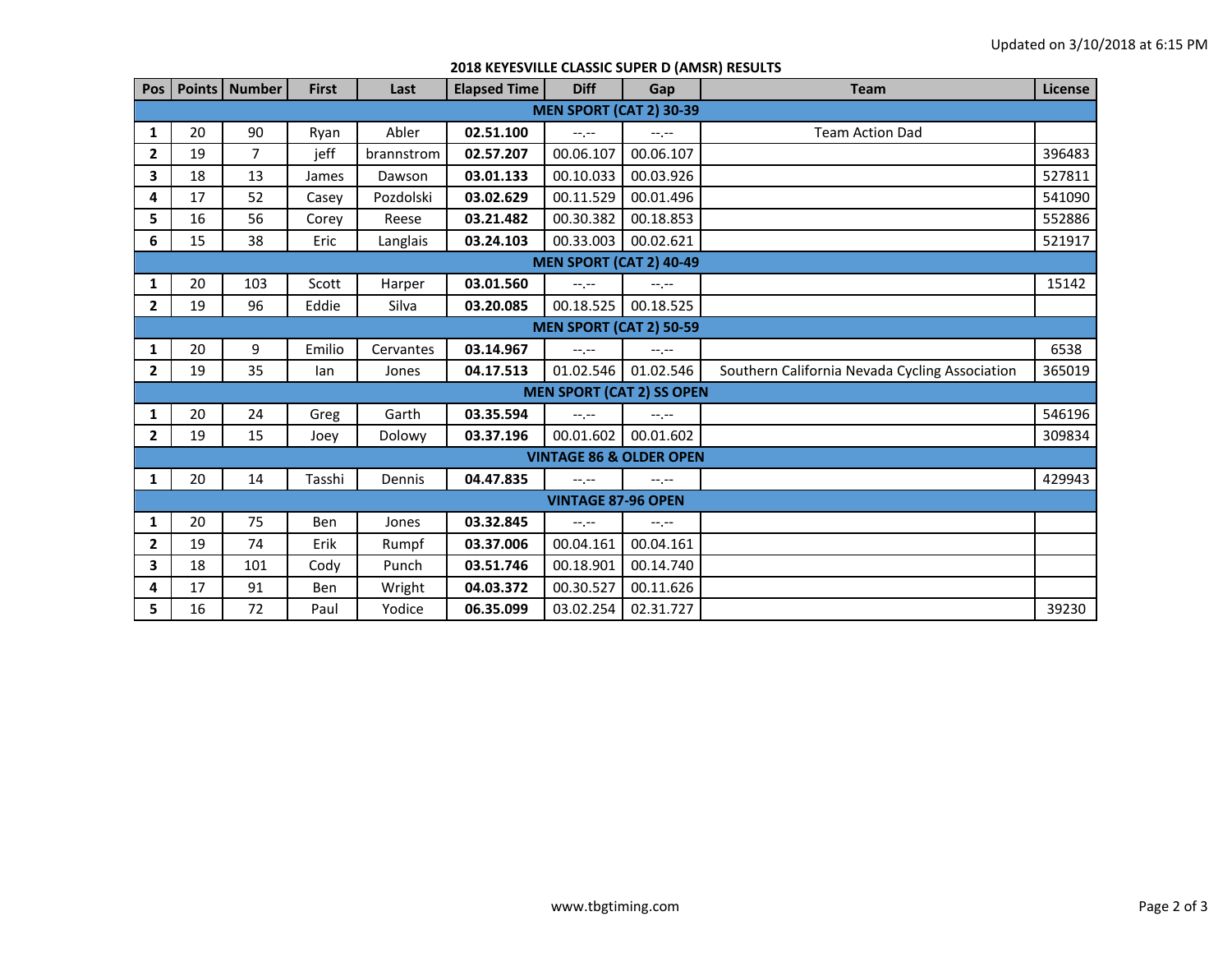| Pos I                            |    | Points   Number | <b>First</b> | Last       | <b>Elapsed Time</b> | <b>Diff</b> | Gap                                | <b>Team</b>                                    | License |  |  |
|----------------------------------|----|-----------------|--------------|------------|---------------------|-------------|------------------------------------|------------------------------------------------|---------|--|--|
| <b>MEN SPORT (CAT 2) 30-39</b>   |    |                 |              |            |                     |             |                                    |                                                |         |  |  |
| 1                                | 20 | 90              | Ryan         | Abler      | 02.51.100           | $-1$ , $-1$ | $-1$ , $-1$                        | <b>Team Action Dad</b>                         |         |  |  |
| $\mathbf{2}$                     | 19 | $\overline{7}$  | jeff         | brannstrom | 02.57.207           | 00.06.107   | 00.06.107                          |                                                | 396483  |  |  |
| 3                                | 18 | 13              | James        | Dawson     | 03.01.133           | 00.10.033   | 00.03.926                          |                                                | 527811  |  |  |
| 4                                | 17 | 52              | Casey        | Pozdolski  | 03.02.629           | 00.11.529   | 00.01.496                          |                                                | 541090  |  |  |
| 5                                | 16 | 56              | Corey        | Reese      | 03.21.482           | 00.30.382   | 00.18.853                          |                                                | 552886  |  |  |
| 6                                | 15 | 38              | Eric         | Langlais   | 03.24.103           | 00.33.003   | 00.02.621                          |                                                | 521917  |  |  |
| <b>MEN SPORT (CAT 2) 40-49</b>   |    |                 |              |            |                     |             |                                    |                                                |         |  |  |
| 1                                | 20 | 103             | Scott        | Harper     | 03.01.560           | $-1$ , $-1$ | $-1 - 1 - 1 = 0$                   |                                                | 15142   |  |  |
| $\mathbf{2}$                     | 19 | 96              | Eddie        | Silva      | 03.20.085           | 00.18.525   | 00.18.525                          |                                                |         |  |  |
| <b>MEN SPORT (CAT 2) 50-59</b>   |    |                 |              |            |                     |             |                                    |                                                |         |  |  |
| 1                                | 20 | 9               | Emilio       | Cervantes  | 03.14.967           | $-1$ , $-1$ | $-1 - 1 - 1 = 0$                   |                                                | 6538    |  |  |
| $\mathbf{2}$                     | 19 | 35              | lan          | Jones      | 04.17.513           | 01.02.546   | 01.02.546                          | Southern California Nevada Cycling Association | 365019  |  |  |
| <b>MEN SPORT (CAT 2) SS OPEN</b> |    |                 |              |            |                     |             |                                    |                                                |         |  |  |
| 1                                | 20 | 24              | Greg         | Garth      | 03.35.594           | $-1$ , $-1$ | $-1 - 1 - 1 = 0$                   |                                                | 546196  |  |  |
| $\mathbf{2}$                     | 19 | 15              | Joey         | Dolowy     | 03.37.196           | 00.01.602   | 00.01.602                          |                                                | 309834  |  |  |
|                                  |    |                 |              |            |                     |             | <b>VINTAGE 86 &amp; OLDER OPEN</b> |                                                |         |  |  |
| 1                                | 20 | 14              | Tasshi       | Dennis     | 04.47.835           | $-1$ , $-1$ | $-1 - 1 - 1 = 0$                   |                                                | 429943  |  |  |
| <b>VINTAGE 87-96 OPEN</b>        |    |                 |              |            |                     |             |                                    |                                                |         |  |  |
| 1                                | 20 | 75              | Ben          | Jones      | 03.32.845           | $-1$ , $-1$ | $-1 - 1 - 1 = 0$                   |                                                |         |  |  |
| $\mathbf{2}$                     | 19 | 74              | Erik         | Rumpf      | 03.37.006           | 00.04.161   | 00.04.161                          |                                                |         |  |  |
| 3                                | 18 | 101             | Cody         | Punch      | 03.51.746           | 00.18.901   | 00.14.740                          |                                                |         |  |  |
| 4                                | 17 | 91              | Ben          | Wright     | 04.03.372           | 00.30.527   | 00.11.626                          |                                                |         |  |  |
| 5                                | 16 | 72              | Paul         | Yodice     | 06.35.099           | 03.02.254   | 02.31.727                          |                                                | 39230   |  |  |

## **2018 KEYESVILLE CLASSIC SUPER D (AMSR) RESULTS**